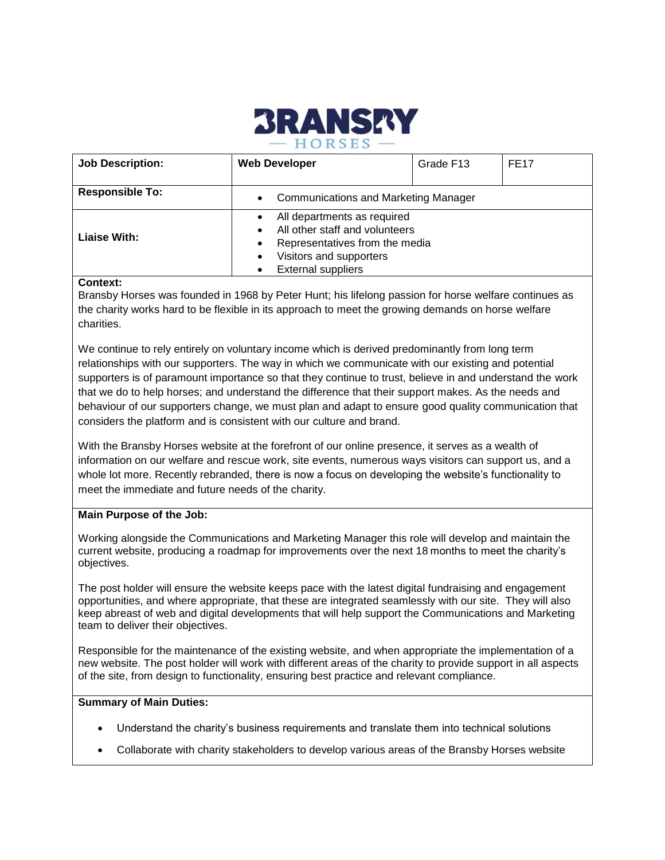

| <b>Job Description:</b> | <b>Web Developer</b>                                                                                                                                    | Grade F13 | <b>FE17</b> |
|-------------------------|---------------------------------------------------------------------------------------------------------------------------------------------------------|-----------|-------------|
| <b>Responsible To:</b>  | <b>Communications and Marketing Manager</b><br>$\bullet$                                                                                                |           |             |
| Liaise With:<br>.       | All departments as required<br>All other staff and volunteers<br>Representatives from the media<br>Visitors and supporters<br><b>External suppliers</b> |           |             |

## **Context:**

Bransby Horses was founded in 1968 by Peter Hunt; his lifelong passion for horse welfare continues as the charity works hard to be flexible in its approach to meet the growing demands on horse welfare charities.

We continue to rely entirely on voluntary income which is derived predominantly from long term relationships with our supporters. The way in which we communicate with our existing and potential supporters is of paramount importance so that they continue to trust, believe in and understand the work that we do to help horses; and understand the difference that their support makes. As the needs and behaviour of our supporters change, we must plan and adapt to ensure good quality communication that considers the platform and is consistent with our culture and brand.

With the Bransby Horses website at the forefront of our online presence, it serves as a wealth of information on our welfare and rescue work, site events, numerous ways visitors can support us, and a whole lot more. Recently rebranded, there is now a focus on developing the website's functionality to meet the immediate and future needs of the charity.

## **Main Purpose of the Job:**

Working alongside the Communications and Marketing Manager this role will develop and maintain the current website, producing a roadmap for improvements over the next 18 months to meet the charity's objectives.

The post holder will ensure the website keeps pace with the latest digital fundraising and engagement opportunities, and where appropriate, that these are integrated seamlessly with our site. They will also keep abreast of web and digital developments that will help support the Communications and Marketing team to deliver their objectives.

Responsible for the maintenance of the existing website, and when appropriate the implementation of a new website. The post holder will work with different areas of the charity to provide support in all aspects of the site, from design to functionality, ensuring best practice and relevant compliance.

## **Summary of Main Duties:**

- Understand the charity's business requirements and translate them into technical solutions
- Collaborate with charity stakeholders to develop various areas of the Bransby Horses website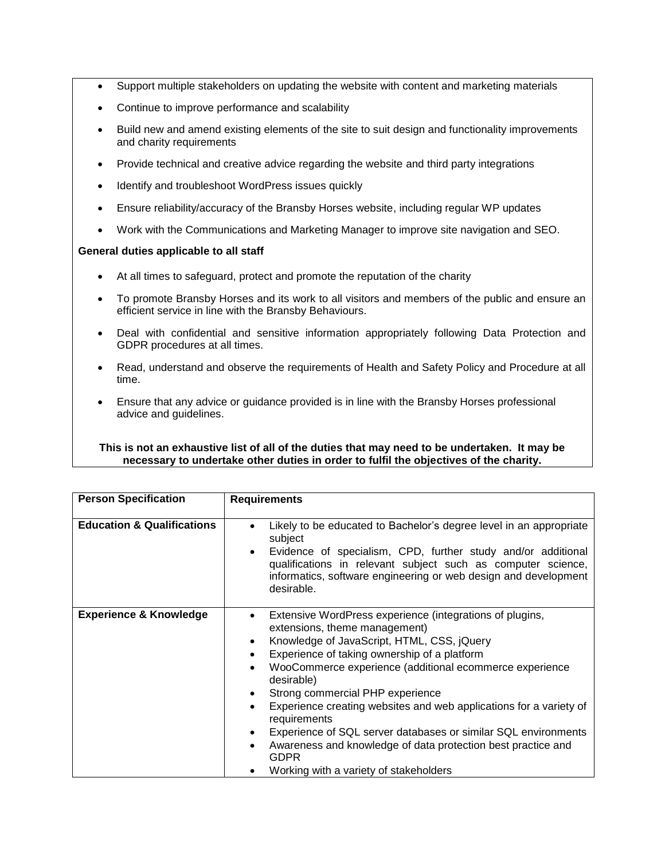- Support multiple stakeholders on updating the website with content and marketing materials
- Continue to improve performance and scalability
- Build new and amend existing elements of the site to suit design and functionality improvements and charity requirements
- Provide technical and creative advice regarding the website and third party integrations
- Identify and troubleshoot WordPress issues quickly
- Ensure reliability/accuracy of the Bransby Horses website, including regular WP updates
- Work with the Communications and Marketing Manager to improve site navigation and SEO.

## **General duties applicable to all staff**

- At all times to safeguard, protect and promote the reputation of the charity
- To promote Bransby Horses and its work to all visitors and members of the public and ensure an efficient service in line with the Bransby Behaviours.
- Deal with confidential and sensitive information appropriately following Data Protection and GDPR procedures at all times.
- Read, understand and observe the requirements of Health and Safety Policy and Procedure at all time.
- Ensure that any advice or guidance provided is in line with the Bransby Horses professional advice and guidelines.

# **This is not an exhaustive list of all of the duties that may need to be undertaken. It may be necessary to undertake other duties in order to fulfil the objectives of the charity.**

| <b>Person Specification</b>           | <b>Requirements</b>                                                                                                                                                                                                                                                                                                                                                                                                                                                                                                                                                                                                               |  |
|---------------------------------------|-----------------------------------------------------------------------------------------------------------------------------------------------------------------------------------------------------------------------------------------------------------------------------------------------------------------------------------------------------------------------------------------------------------------------------------------------------------------------------------------------------------------------------------------------------------------------------------------------------------------------------------|--|
|                                       |                                                                                                                                                                                                                                                                                                                                                                                                                                                                                                                                                                                                                                   |  |
| <b>Education &amp; Qualifications</b> | Likely to be educated to Bachelor's degree level in an appropriate<br>subject<br>Evidence of specialism, CPD, further study and/or additional<br>$\bullet$<br>qualifications in relevant subject such as computer science,<br>informatics, software engineering or web design and development<br>desirable.                                                                                                                                                                                                                                                                                                                       |  |
| <b>Experience &amp; Knowledge</b>     | Extensive WordPress experience (integrations of plugins,<br>extensions, theme management)<br>Knowledge of JavaScript, HTML, CSS, jQuery<br>$\bullet$<br>Experience of taking ownership of a platform<br>WooCommerce experience (additional ecommerce experience<br>٠<br>desirable)<br>Strong commercial PHP experience<br>Experience creating websites and web applications for a variety of<br>$\bullet$<br>requirements<br>Experience of SQL server databases or similar SQL environments<br>$\bullet$<br>Awareness and knowledge of data protection best practice and<br><b>GDPR</b><br>Working with a variety of stakeholders |  |